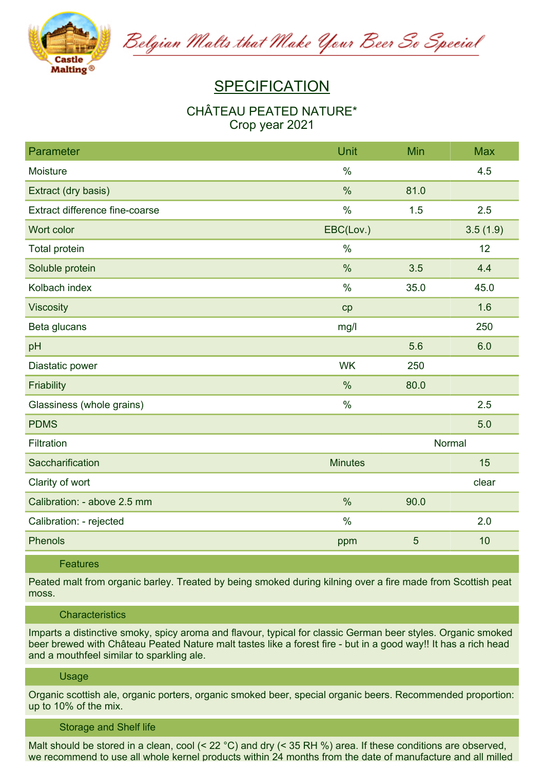

Belgian Malts that Make Your Beer So Special

# **SPECIFICATION**

## **CHÂTEAU PEATED NATURE\* Crop year 2021**

| Parameter                      | Unit           | Min  | <b>Max</b> |
|--------------------------------|----------------|------|------------|
| Moisture                       | $\frac{0}{0}$  |      | 4.5        |
| Extract (dry basis)            | $\%$           | 81.0 |            |
| Extract difference fine-coarse | $\frac{0}{0}$  | 1.5  | 2.5        |
| Wort color                     | EBC(Lov.)      |      | 3.5(1.9)   |
| Total protein                  | $\%$           |      | 12         |
| Soluble protein                | $\frac{0}{0}$  | 3.5  | 4.4        |
| Kolbach index                  | $\%$           | 35.0 | 45.0       |
| <b>Viscosity</b>               | cp             |      | 1.6        |
| Beta glucans                   | mg/l           |      | 250        |
| pH                             |                | 5.6  | 6.0        |
| Diastatic power                | <b>WK</b>      | 250  |            |
| Friability                     | $\%$           | 80.0 |            |
| Glassiness (whole grains)      | $\frac{0}{0}$  |      | 2.5        |
| <b>PDMS</b>                    |                |      | 5.0        |
| Filtration                     | Normal         |      |            |
| Saccharification               | <b>Minutes</b> |      | 15         |
| Clarity of wort                |                |      | clear      |
| Calibration: - above 2.5 mm    | $\frac{0}{0}$  | 90.0 |            |
| Calibration: - rejected        | $\%$           |      | 2.0        |
| <b>Phenols</b>                 | ppm            | 5    | 10         |

### **Features**

Peated malt from organic barley. Treated by being smoked during kilning over a fire made from Scottish peat **moss.**

#### **Characteristics**

**Imparts a distinctive smoky, spicy aroma and flavour, typical for classic German beer styles. Organic smoked** beer brewed with Château Peated Nature malt tastes like a forest fire - but in a good way!! It has a rich head **and a mouthfeel similar to sparkling ale.**

#### **Usage**

**Organic scottish ale, organic porters, organic smoked beer, special organic beers. Recommended proportion: up to 10% of the mix.**

#### **Storage and Shelf life**

Malt should be stored in a clean, cool  $(< 22 °C)$  and dry  $(< 35 RH$  %) area. If these conditions are observed, we recommend to use all whole kernel products within 24 months from the date of manufacture and all milled